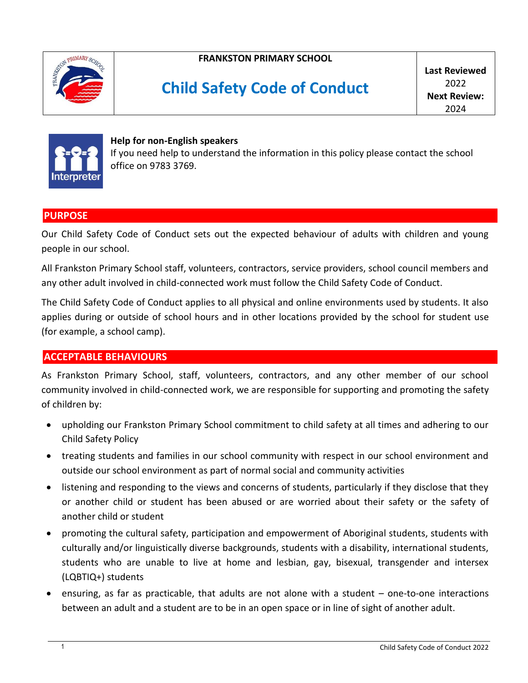

**FRANKSTON PRIMARY SCHOOL**

# **Child Safety Code of Conduct**

**Last Reviewed**   $2022$ **Next Review:** 2024



#### **Help for non-English speakers** If you need help to understand the information in this policy please contact the school office on 9783 3769.

#### **PURPOSE**

Our Child Safety Code of Conduct sets out the expected behaviour of adults with children and young people in our school.

All Frankston Primary School staff, volunteers, contractors, service providers, school council members and any other adult involved in child-connected work must follow the Child Safety Code of Conduct.

The Child Safety Code of Conduct applies to all physical and online environments used by students. It also applies during or outside of school hours and in other locations provided by the school for student use (for example, a school camp).

# **ACCEPTABLE BEHAVIOURS**

As Frankston Primary School, staff, volunteers, contractors, and any other member of our school community involved in child-connected work, we are responsible for supporting and promoting the safety of children by:

- upholding our Frankston Primary School commitment to child safety at all times and adhering to our Child Safety Policy
- treating students and families in our school community with respect in our school environment and outside our school environment as part of normal social and community activities
- listening and responding to the views and concerns of students, particularly if they disclose that they or another child or student has been abused or are worried about their safety or the safety of another child or student
- promoting the cultural safety, participation and empowerment of Aboriginal students, students with culturally and/or linguistically diverse backgrounds, students with a disability, international students, students who are unable to live at home and lesbian, gay, bisexual, transgender and intersex (LQBTIQ+) students
- ensuring, as far as practicable, that adults are not alone with a student one-to-one interactions between an adult and a student are to be in an open space or in line of sight of another adult.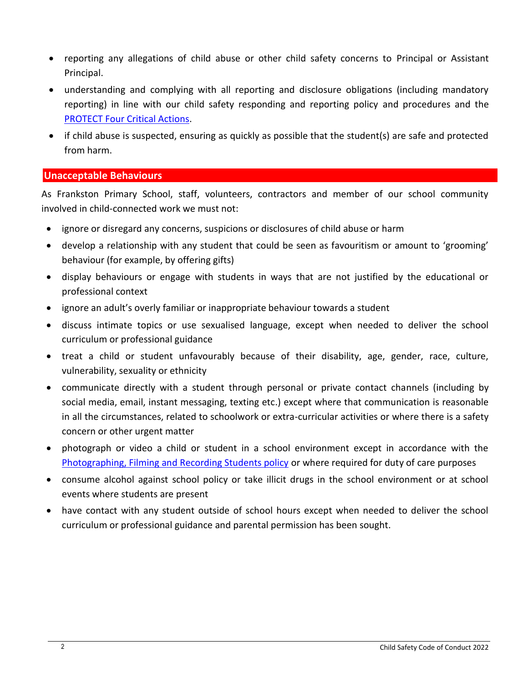- reporting any allegations of child abuse or other child safety concerns to Principal or Assistant Principal.
- understanding and complying with all reporting and disclosure obligations (including mandatory reporting) in line with our child safety responding and reporting policy and procedures and the [PROTECT Four Critical Actions.](https://www.education.vic.gov.au/Documents/about/programs/health/protect/FourCriticalActions_ChildAbuse.pdf)
- if child abuse is suspected, ensuring as quickly as possible that the student(s) are safe and protected from harm.

#### **Unacceptable Behaviours**

As Frankston Primary School, staff, volunteers, contractors and member of our school community involved in child-connected work we must not:

- ignore or disregard any concerns, suspicions or disclosures of child abuse or harm
- develop a relationship with any student that could be seen as favouritism or amount to 'grooming' behaviour (for example, by offering gifts)
- display behaviours or engage with students in ways that are not justified by the educational or professional context
- ignore an adult's overly familiar or inappropriate behaviour towards a student
- discuss intimate topics or use sexualised language, except when needed to deliver the school curriculum or professional guidance
- treat a child or student unfavourably because of their disability, age, gender, race, culture, vulnerability, sexuality or ethnicity
- communicate directly with a student through personal or private contact channels (including by social media, email, instant messaging, texting etc.) except where that communication is reasonable in all the circumstances, related to schoolwork or extra-curricular activities or where there is a safety concern or other urgent matter
- photograph or video a child or student in a school environment except in accordance with the [Photographing, Filming and Recording Students policy](https://www2.education.vic.gov.au/pal/photographing-students/policy) or where required for duty of care purposes
- consume alcohol against school policy or take illicit drugs in the school environment or at school events where students are present
- have contact with any student outside of school hours except when needed to deliver the school curriculum or professional guidance and parental permission has been sought.